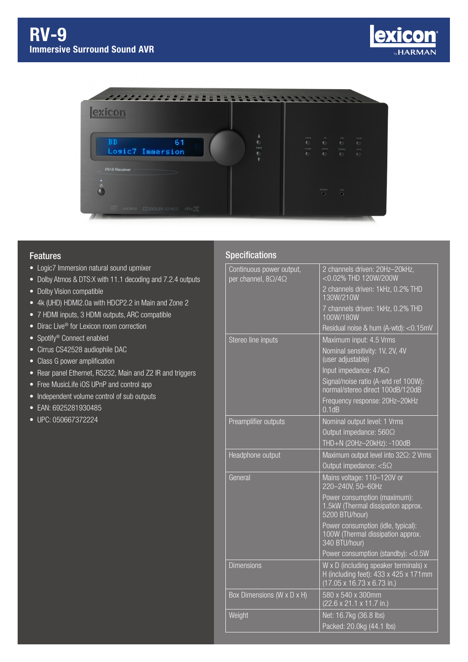



## Features

- Logic7 Immersion natural sound upmixer
- Dolby Atmos & DTS:X with 11.1 decoding and 7.2.4 outputs
- Dolby Vision compatible
- 4k (UHD) HDMI2.0a with HDCP2.2 in Main and Zone 2
- 7 HDMI inputs, 3 HDMI outputs, ARC compatible
- Dirac Live<sup>®</sup> for Lexicon room correction
- Spotify<sup>®</sup> Connect enabled
- Cirrus CS42528 audiophile DAC
- Class G power amplification
- Rear panel Ethernet, RS232, Main and Z2 IR and triggers
- Free MusicLife iOS UPnP and control app
- Independent volume control of sub outputs
- EAN: 6925281930485
- UPC: 050667372224

## **Specifications**

| Continuous power output,<br>per channel, $8\Omega/4\Omega$ | 2 channels driven: 20Hz-20kHz,<br><0.02% THD 120W/200W                                                       |
|------------------------------------------------------------|--------------------------------------------------------------------------------------------------------------|
|                                                            | 2 channels driven: 1kHz, 0.2% THD<br>130W/210W                                                               |
|                                                            | 7 channels driven: 1kHz, 0.2% THD<br>100W/180W                                                               |
|                                                            | Residual noise & hum (A-wtd): < 0.15mV                                                                       |
| Stereo line inputs                                         | Maximum input: 4.5 Vrms                                                                                      |
|                                                            | Nominal sensitivity: 1V, 2V, 4V<br>(user adjustable)                                                         |
|                                                            | Input impedance: 47kΩ                                                                                        |
|                                                            | Signal/noise ratio (A-wtd ref 100W):<br>normal/stereo direct 100dB/120dB                                     |
|                                                            | Frequency response: 20Hz-20kHz<br>0.1dB                                                                      |
| Preamplifier outputs                                       | Nominal output level: 1 Vrms                                                                                 |
|                                                            | Output impedance: 560 $\Omega$                                                                               |
|                                                            | THD+N (20Hz-20kHz): -100dB                                                                                   |
| Headphone output                                           | Maximum output level into 322: 2 Vrms                                                                        |
|                                                            | Output impedance: $<5\Omega$                                                                                 |
| General                                                    | Mains voltage: 110-120V or<br>220-240V, 50-60Hz                                                              |
|                                                            | Power consumption (maximum):<br>1.5kW (Thermal dissipation approx.<br>5200 BTU/hour)                         |
|                                                            | Power consumption (idle, typical):<br>100W (Thermal dissipation approx.<br>340 BTU/hour)                     |
|                                                            | Power consumption (standby): <0.5W                                                                           |
| <b>Dimensions</b>                                          | W x D (including speaker terminals) x<br>H (including feet): 433 x 425 x 171mm<br>(17.05 x 16.73 x 6.73 in.) |
| Box Dimensions (W x D x H)                                 | 580 x 540 x 300mm<br>$(22.6 \times 21.1 \times 11.7 \text{ in.})$                                            |
| Weight                                                     | Net: 16.7kg (36.8 lbs)                                                                                       |
|                                                            | Packed: 20.0kg (44.1 lbs)                                                                                    |